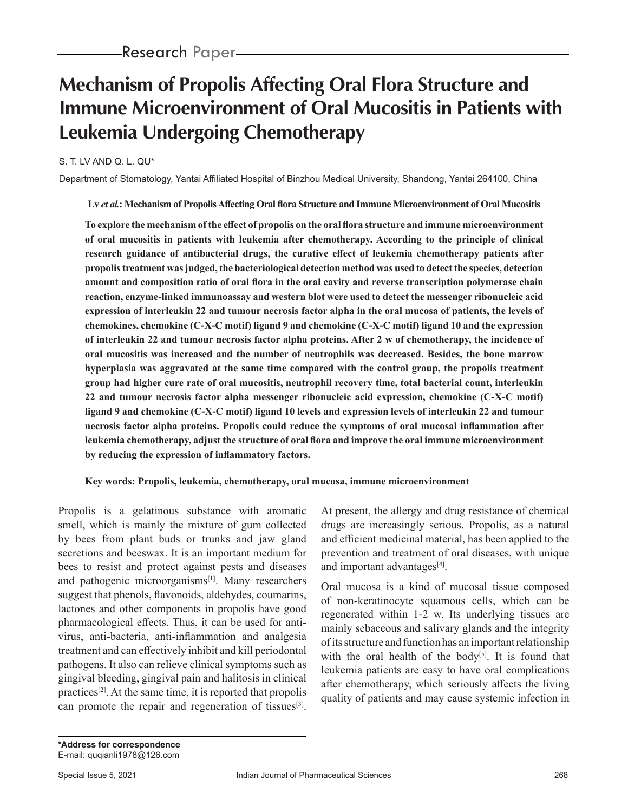# **Mechanism of Propolis Affecting Oral Flora Structure and Immune Microenvironment of Oral Mucositis in Patients with Leukemia Undergoing Chemotherapy**

### S. T. LV AND Q. L. QU\*

Department of Stomatology, Yantai Affiliated Hospital of Binzhou Medical University, Shandong, Yantai 264100, China

**Lv** *et al.***: Mechanism of Propolis Affecting Oral flora Structure and Immune Microenvironment of Oral Mucositis**

**To explore the mechanism of the effect of propolis on the oral flora structure and immune microenvironment of oral mucositis in patients with leukemia after chemotherapy. According to the principle of clinical research guidance of antibacterial drugs, the curative effect of leukemia chemotherapy patients after propolis treatment was judged, the bacteriological detection method was used to detect the species, detection amount and composition ratio of oral flora in the oral cavity and reverse transcription polymerase chain reaction, enzyme-linked immunoassay and western blot were used to detect the messenger ribonucleic acid expression of interleukin 22 and tumour necrosis factor alpha in the oral mucosa of patients, the levels of chemokines, chemokine (C-X-C motif) ligand 9 and chemokine (C-X-C motif) ligand 10 and the expression of interleukin 22 and tumour necrosis factor alpha proteins. After 2 w of chemotherapy, the incidence of oral mucositis was increased and the number of neutrophils was decreased. Besides, the bone marrow hyperplasia was aggravated at the same time compared with the control group, the propolis treatment group had higher cure rate of oral mucositis, neutrophil recovery time, total bacterial count, interleukin 22 and tumour necrosis factor alpha messenger ribonucleic acid expression, chemokine (C-X-C motif) ligand 9 and chemokine (C-X-C motif) ligand 10 levels and expression levels of interleukin 22 and tumour necrosis factor alpha proteins. Propolis could reduce the symptoms of oral mucosal inflammation after leukemia chemotherapy, adjust the structure of oral flora and improve the oral immune microenvironment by reducing the expression of inflammatory factors.**

#### **Key words: Propolis, leukemia, chemotherapy, oral mucosa, immune microenvironment**

Propolis is a gelatinous substance with aromatic smell, which is mainly the mixture of gum collected by bees from plant buds or trunks and jaw gland secretions and beeswax. It is an important medium for bees to resist and protect against pests and diseases and pathogenic microorganisms<sup>[1]</sup>. Many researchers suggest that phenols, flavonoids, aldehydes, coumarins, lactones and other components in propolis have good pharmacological effects. Thus, it can be used for antivirus, anti-bacteria, anti-inflammation and analgesia treatment and can effectively inhibit and kill periodontal pathogens. It also can relieve clinical symptoms such as gingival bleeding, gingival pain and halitosis in clinical practices[2]. At the same time, it is reported that propolis can promote the repair and regeneration of tissues  $[3]$ .

At present, the allergy and drug resistance of chemical drugs are increasingly serious. Propolis, as a natural and efficient medicinal material, has been applied to the prevention and treatment of oral diseases, with unique and important advantages<sup>[4]</sup>.

Oral mucosa is a kind of mucosal tissue composed of non-keratinocyte squamous cells, which can be regenerated within 1-2 w. Its underlying tissues are mainly sebaceous and salivary glands and the integrity of its structure and function has an important relationship with the oral health of the body<sup>[5]</sup>. It is found that leukemia patients are easy to have oral complications after chemotherapy, which seriously affects the living quality of patients and may cause systemic infection in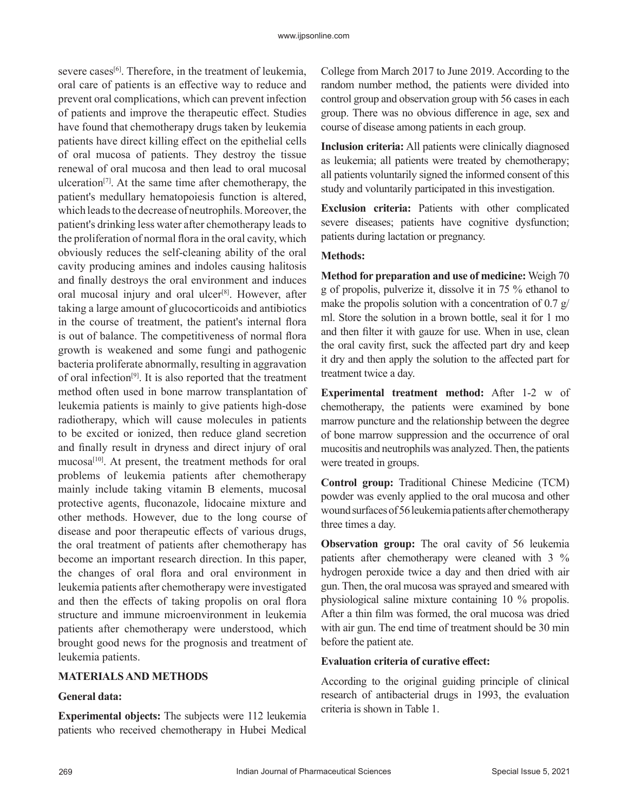severe cases<sup>[6]</sup>. Therefore, in the treatment of leukemia, oral care of patients is an effective way to reduce and prevent oral complications, which can prevent infection of patients and improve the therapeutic effect. Studies have found that chemotherapy drugs taken by leukemia patients have direct killing effect on the epithelial cells of oral mucosa of patients. They destroy the tissue renewal of oral mucosa and then lead to oral mucosal ulceration<sup>[7]</sup>. At the same time after chemotherapy, the patient's medullary hematopoiesis function is altered, which leads to the decrease of neutrophils. Moreover, the patient's drinking less water after chemotherapy leads to the proliferation of normal flora in the oral cavity, which obviously reduces the self-cleaning ability of the oral cavity producing amines and indoles causing halitosis and finally destroys the oral environment and induces oral mucosal injury and oral ulcer<sup>[8]</sup>. However, after taking a large amount of glucocorticoids and antibiotics in the course of treatment, the patient's internal flora is out of balance. The competitiveness of normal flora growth is weakened and some fungi and pathogenic bacteria proliferate abnormally, resulting in aggravation of oral infection[9]. It is also reported that the treatment method often used in bone marrow transplantation of leukemia patients is mainly to give patients high-dose radiotherapy, which will cause molecules in patients to be excited or ionized, then reduce gland secretion and finally result in dryness and direct injury of oral mucosa<sup>[10]</sup>. At present, the treatment methods for oral problems of leukemia patients after chemotherapy mainly include taking vitamin B elements, mucosal protective agents, fluconazole, lidocaine mixture and other methods. However, due to the long course of disease and poor therapeutic effects of various drugs, the oral treatment of patients after chemotherapy has become an important research direction. In this paper, the changes of oral flora and oral environment in leukemia patients after chemotherapy were investigated and then the effects of taking propolis on oral flora structure and immune microenvironment in leukemia patients after chemotherapy were understood, which brought good news for the prognosis and treatment of leukemia patients.

## **MATERIALS AND METHODS**

## **General data:**

**Experimental objects:** The subjects were 112 leukemia patients who received chemotherapy in Hubei Medical College from March 2017 to June 2019. According to the random number method, the patients were divided into control group and observation group with 56 cases in each group. There was no obvious difference in age, sex and course of disease among patients in each group.

**Inclusion criteria:** All patients were clinically diagnosed as leukemia; all patients were treated by chemotherapy; all patients voluntarily signed the informed consent of this study and voluntarily participated in this investigation.

**Exclusion criteria:** Patients with other complicated severe diseases; patients have cognitive dysfunction; patients during lactation or pregnancy.

## **Methods:**

**Method for preparation and use of medicine:** Weigh 70 g of propolis, pulverize it, dissolve it in 75 % ethanol to make the propolis solution with a concentration of 0.7  $g$ / ml. Store the solution in a brown bottle, seal it for 1 mo and then filter it with gauze for use. When in use, clean the oral cavity first, suck the affected part dry and keep it dry and then apply the solution to the affected part for treatment twice a day.

**Experimental treatment method:** After 1-2 w of chemotherapy, the patients were examined by bone marrow puncture and the relationship between the degree of bone marrow suppression and the occurrence of oral mucositis and neutrophils was analyzed. Then, the patients were treated in groups.

**Control group:** Traditional Chinese Medicine (TCM) powder was evenly applied to the oral mucosa and other wound surfaces of 56 leukemia patients after chemotherapy three times a day.

**Observation group:** The oral cavity of 56 leukemia patients after chemotherapy were cleaned with 3 % hydrogen peroxide twice a day and then dried with air gun. Then, the oral mucosa was sprayed and smeared with physiological saline mixture containing 10 % propolis. After a thin film was formed, the oral mucosa was dried with air gun. The end time of treatment should be 30 min before the patient ate.

## **Evaluation criteria of curative effect:**

According to the original guiding principle of clinical research of antibacterial drugs in 1993, the evaluation criteria is shown in Table 1.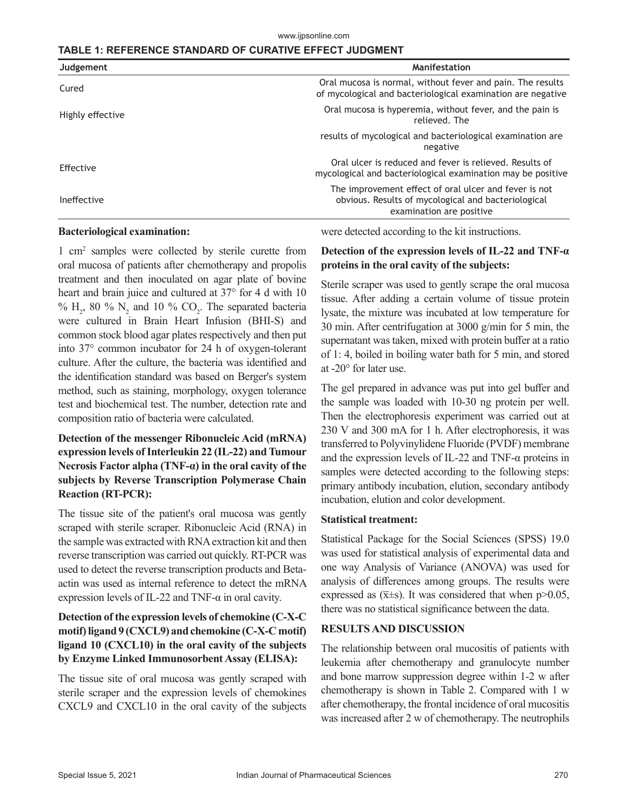## **TABLE 1: REFERENCE STANDARD OF CURATIVE EFFECT JUDGMENT**

| Judgement        | Manifestation                                                                                                                            |
|------------------|------------------------------------------------------------------------------------------------------------------------------------------|
| Cured            | Oral mucosa is normal, without fever and pain. The results<br>of mycological and bacteriological examination are negative                |
| Highly effective | Oral mucosa is hyperemia, without fever, and the pain is<br>relieved. The                                                                |
|                  | results of mycological and bacteriological examination are<br>negative                                                                   |
| Effective        | Oral ulcer is reduced and fever is relieved. Results of<br>mycological and bacteriological examination may be positive                   |
| Ineffective      | The improvement effect of oral ulcer and fever is not<br>obvious. Results of mycological and bacteriological<br>examination are positive |

#### **Bacteriological examination:**

1 cm2 samples were collected by sterile curette from oral mucosa of patients after chemotherapy and propolis treatment and then inoculated on agar plate of bovine heart and brain juice and cultured at 37° for 4 d with 10 %  $H_2$ , 80 %  $N_2$  and 10 %  $CO_2$ . The separated bacteria were cultured in Brain Heart Infusion (BHI-S) and common stock blood agar plates respectively and then put into 37° common incubator for 24 h of oxygen-tolerant culture. After the culture, the bacteria was identified and the identification standard was based on Berger's system method, such as staining, morphology, oxygen tolerance test and biochemical test. The number, detection rate and composition ratio of bacteria were calculated.

## **Detection of the messenger Ribonucleic Acid (mRNA) expression levels of Interleukin 22 (IL-22) and Tumour Necrosis Factor alpha (TNF-α) in the oral cavity of the subjects by Reverse Transcription Polymerase Chain Reaction (RT-PCR):**

The tissue site of the patient's oral mucosa was gently scraped with sterile scraper. Ribonucleic Acid (RNA) in the sample was extracted with RNA extraction kit and then reverse transcription was carried out quickly. RT-PCR was used to detect the reverse transcription products and Betaactin was used as internal reference to detect the mRNA expression levels of IL-22 and TNF- $\alpha$  in oral cavity.

## **Detection of the expression levels of chemokine (C-X-C motif) ligand 9 (CXCL9) and chemokine (C-X-C motif) ligand 10 (CXCL10) in the oral cavity of the subjects by Enzyme Linked Immunosorbent Assay (ELISA):**

The tissue site of oral mucosa was gently scraped with sterile scraper and the expression levels of chemokines CXCL9 and CXCL10 in the oral cavity of the subjects

were detected according to the kit instructions.

## **Detection of the expression levels of IL-22 and TNF-α proteins in the oral cavity of the subjects:**

Sterile scraper was used to gently scrape the oral mucosa tissue. After adding a certain volume of tissue protein lysate, the mixture was incubated at low temperature for 30 min. After centrifugation at 3000 g/min for 5 min, the supernatant was taken, mixed with protein buffer at a ratio of 1: 4, boiled in boiling water bath for 5 min, and stored at -20° for later use.

The gel prepared in advance was put into gel buffer and the sample was loaded with 10-30 ng protein per well. Then the electrophoresis experiment was carried out at 230 V and 300 mA for 1 h. After electrophoresis, it was transferred to Polyvinylidene Fluoride (PVDF) membrane and the expression levels of IL-22 and TNF-α proteins in samples were detected according to the following steps: primary antibody incubation, elution, secondary antibody incubation, elution and color development.

#### **Statistical treatment:**

Statistical Package for the Social Sciences (SPSS) 19.0 was used for statistical analysis of experimental data and one way Analysis of Variance (ANOVA) was used for analysis of differences among groups. The results were expressed as  $(\bar{x} \pm s)$ . It was considered that when p $> 0.05$ , there was no statistical significance between the data.

## **RESULTS AND DISCUSSION**

The relationship between oral mucositis of patients with leukemia after chemotherapy and granulocyte number and bone marrow suppression degree within 1-2 w after chemotherapy is shown in Table 2. Compared with 1 w after chemotherapy, the frontal incidence of oral mucositis was increased after 2 w of chemotherapy. The neutrophils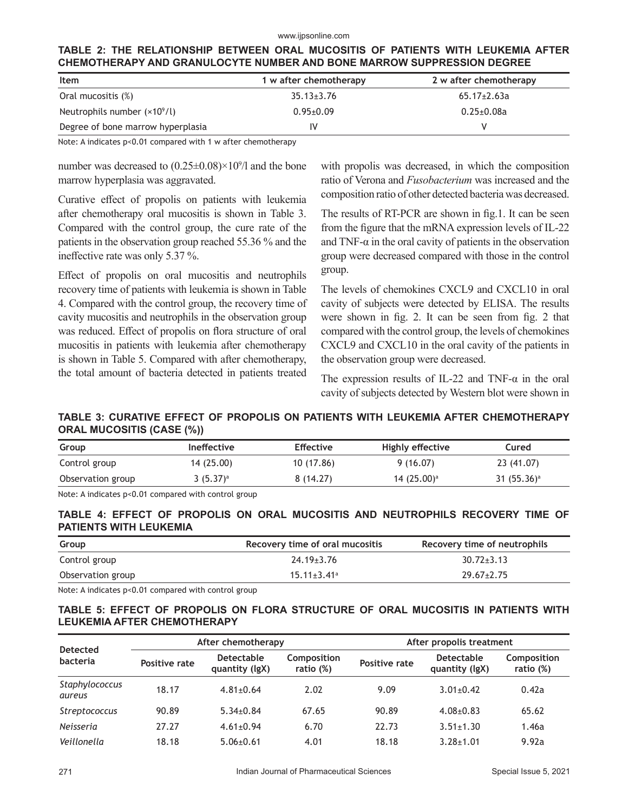#### www.ijpsonline.com

## **TABLE 2: THE RELATIONSHIP BETWEEN ORAL MUCOSITIS OF PATIENTS WITH LEUKEMIA AFTER CHEMOTHERAPY AND GRANULOCYTE NUMBER AND BONE MARROW SUPPRESSION DEGREE**

| Item                              | 1 w after chemotherapy | 2 w after chemotherapy |
|-----------------------------------|------------------------|------------------------|
| Oral mucositis (%)                | $35.13 \pm 3.76$       | $65.17 \pm 2.63a$      |
| Neutrophils number $(x10^9/l)$    | $0.95 \pm 0.09$        | $0.25 + 0.08a$         |
| Degree of bone marrow hyperplasia |                        |                        |

Note: A indicates p<0.01 compared with 1 w after chemotherapy

number was decreased to  $(0.25 \pm 0.08) \times 10^{9}/1$  and the bone marrow hyperplasia was aggravated.

Curative effect of propolis on patients with leukemia after chemotherapy oral mucositis is shown in Table 3. Compared with the control group, the cure rate of the patients in the observation group reached 55.36 % and the ineffective rate was only 5.37 %.

Effect of propolis on oral mucositis and neutrophils recovery time of patients with leukemia is shown in Table 4. Compared with the control group, the recovery time of cavity mucositis and neutrophils in the observation group was reduced. Effect of propolis on flora structure of oral mucositis in patients with leukemia after chemotherapy is shown in Table 5. Compared with after chemotherapy, the total amount of bacteria detected in patients treated with propolis was decreased, in which the composition ratio of Verona and *Fusobacterium* was increased and the composition ratio of other detected bacteria was decreased.

The results of RT-PCR are shown in fig.1. It can be seen from the figure that the mRNA expression levels of IL-22 and TNF- $\alpha$  in the oral cavity of patients in the observation group were decreased compared with those in the control group.

The levels of chemokines CXCL9 and CXCL10 in oral cavity of subjects were detected by ELISA. The results were shown in fig. 2. It can be seen from fig. 2 that compared with the control group, the levels of chemokines CXCL9 and CXCL10 in the oral cavity of the patients in the observation group were decreased.

The expression results of IL-22 and TNF- $\alpha$  in the oral cavity of subjects detected by Western blot were shown in

## **TABLE 3: CURATIVE EFFECT OF PROPOLIS ON PATIENTS WITH LEUKEMIA AFTER CHEMOTHERAPY ORAL MUCOSITIS (CASE (%))**

| Group             | <b>Ineffective</b> | <b>Effective</b> | Highly effective | Cured          |
|-------------------|--------------------|------------------|------------------|----------------|
| Control group     | 14 (25.00)         | 10 (17.86)       | 9(16.07)         | 23 (41.07)     |
| Observation group | $3(5.37)^a$        | 8(14.27)         | 14 $(25.00)^a$   | 31 $(55.36)^a$ |

Note: A indicates p<0.01 compared with control group

#### **TABLE 4: EFFECT OF PROPOLIS ON ORAL MUCOSITIS AND NEUTROPHILS RECOVERY TIME OF PATIENTS WITH LEUKEMIA**

| Group             | Recovery time of oral mucositis | Recovery time of neutrophils |
|-------------------|---------------------------------|------------------------------|
| Control group     | $24.19 \pm 3.76$                | $30.72 \pm 3.13$             |
| Observation group | $15.11 \pm 3.41$ <sup>a</sup>   | $29.67 \pm 2.75$             |

Note: A indicates p<0.01 compared with control group

## **TABLE 5: EFFECT OF PROPOLIS ON FLORA STRUCTURE OF ORAL MUCOSITIS IN PATIENTS WITH LEUKEMIA AFTER CHEMOTHERAPY**

| <b>Detected</b>          | After chemotherapy                                                               |                 |               | After propolis treatment            |                          |       |
|--------------------------|----------------------------------------------------------------------------------|-----------------|---------------|-------------------------------------|--------------------------|-------|
| bacteria                 | <b>Detectable</b><br>Composition<br>Positive rate<br>ratio (%)<br>quantity (lgX) |                 | Positive rate | <b>Detectable</b><br>quantity (lgX) | Composition<br>ratio (%) |       |
| Staphylococcus<br>aureus | 18.17                                                                            | $4.81 \pm 0.64$ | 2.02          | 9.09                                | $3.01 \pm 0.42$          | 0.42a |
| Streptococcus            | 90.89                                                                            | $5.34 \pm 0.84$ | 67.65         | 90.89                               | $4.08 + 0.83$            | 65.62 |
| <b>Neisseria</b>         | 27.27                                                                            | $4.61 \pm 0.94$ | 6.70          | 22.73                               | $3.51 \pm 1.30$          | 1.46a |
| Veillonella              | 18.18                                                                            | $5.06 \pm 0.61$ | 4.01          | 18.18                               | $3.28 + 1.01$            | 9.92a |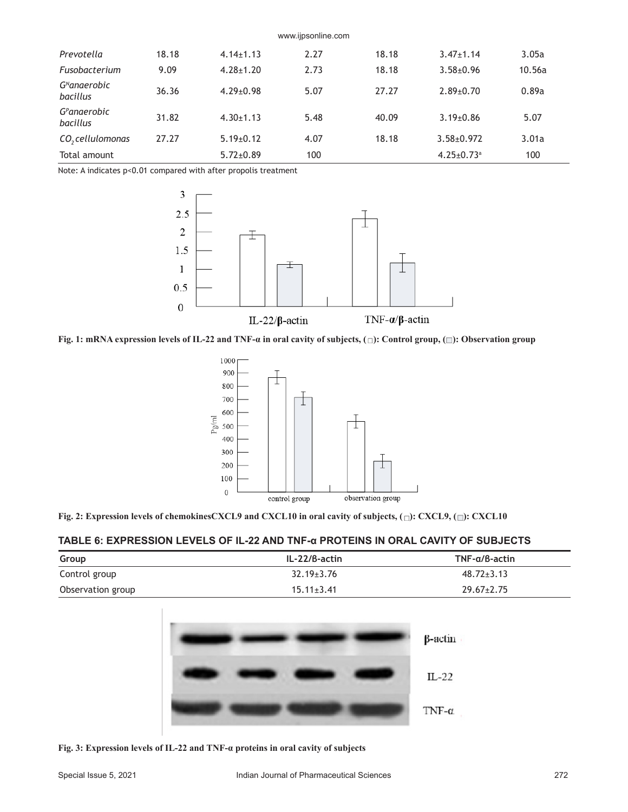| www.ijpsonline.com                   |       |                 |      |       |                              |        |
|--------------------------------------|-------|-----------------|------|-------|------------------------------|--------|
| Prevotella                           | 18.18 | $4.14 \pm 1.13$ | 2.27 | 18.18 | $3.47 \pm 1.14$              | 3.05a  |
| Fusobacterium                        | 9.09  | $4.28 \pm 1.20$ | 2.73 | 18.18 | $3.58 \pm 0.96$              | 10.56a |
| G <sup>N</sup> anaerobic<br>bacillus | 36.36 | $4.29 \pm 0.98$ | 5.07 | 27.27 | $2.89 \pm 0.70$              | 0.89a  |
| G <sup>P</sup> anaerobic<br>bacillus | 31.82 | $4.30 \pm 1.13$ | 5.48 | 40.09 | $3.19 \pm 0.86$              | 5.07   |
| CO <sub>2</sub> cellulomonas         | 27.27 | $5.19 \pm 0.12$ | 4.07 | 18.18 | $3.58 + 0.972$               | 3.01a  |
| Total amount                         |       | $5.72 \pm 0.89$ | 100  |       | $4.25 \pm 0.73$ <sup>a</sup> | 100    |

Note: A indicates p<0.01 compared with after propolis treatment



**Fig. 1: mRNA expression levels of IL-22 and TNF-α in oral cavity of subjects, (□): Control group, (□): Observation group** 



|  |  |  |  |  | Fig. 2: Expression levels of chemokinesCXCL9 and CXCL10 in oral cavity of subjects, ( $\Box$ ): CXCL9, ( $\Box$ ): CXCL10 |
|--|--|--|--|--|---------------------------------------------------------------------------------------------------------------------------|
|--|--|--|--|--|---------------------------------------------------------------------------------------------------------------------------|

#### **TABLE 6: EXPRESSION LEVELS OF IL-22 AND TNF-α PROTEINS IN ORAL CAVITY OF SUBJECTS**

| Group             | IL-22/B-actin    | $TNF-a/B$ -actin |
|-------------------|------------------|------------------|
| Control group     | $32.19 \pm 3.76$ | $48.72 \pm 3.13$ |
| Observation group | $15.11 \pm 3.41$ | $29.67 \pm 2.75$ |



**Fig. 3: Expression levels of IL-22 and TNF-α proteins in oral cavity of subjects**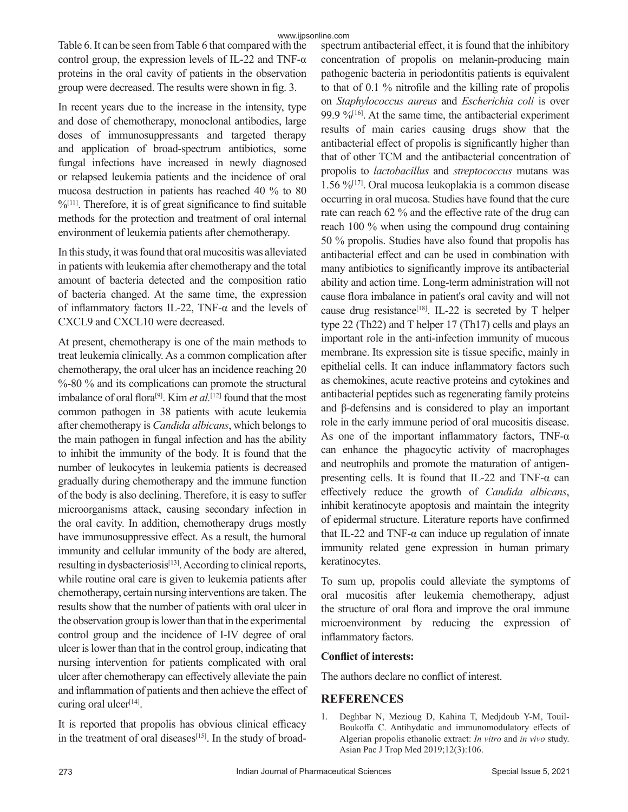Table 6. It can be seen from Table 6 that compared with the control group, the expression levels of IL-22 and TNF- $\alpha$ proteins in the oral cavity of patients in the observation group were decreased. The results were shown in fig. 3.

In recent years due to the increase in the intensity, type and dose of chemotherapy, monoclonal antibodies, large doses of immunosuppressants and targeted therapy and application of broad-spectrum antibiotics, some fungal infections have increased in newly diagnosed or relapsed leukemia patients and the incidence of oral mucosa destruction in patients has reached 40 % to 80  $%$ <sup>[11]</sup>. Therefore, it is of great significance to find suitable methods for the protection and treatment of oral internal environment of leukemia patients after chemotherapy.

In this study, it was found that oral mucositis was alleviated in patients with leukemia after chemotherapy and the total amount of bacteria detected and the composition ratio of bacteria changed. At the same time, the expression of inflammatory factors IL-22, TNF-α and the levels of CXCL9 and CXCL10 were decreased.

At present, chemotherapy is one of the main methods to treat leukemia clinically. As a common complication after chemotherapy, the oral ulcer has an incidence reaching 20 %-80 % and its complications can promote the structural imbalance of oral flora[9]. Kim *et al.*[12] found that the most common pathogen in 38 patients with acute leukemia after chemotherapy is *Candida albicans*, which belongs to the main pathogen in fungal infection and has the ability to inhibit the immunity of the body. It is found that the number of leukocytes in leukemia patients is decreased gradually during chemotherapy and the immune function of the body is also declining. Therefore, it is easy to suffer microorganisms attack, causing secondary infection in the oral cavity. In addition, chemotherapy drugs mostly have immunosuppressive effect. As a result, the humoral immunity and cellular immunity of the body are altered, resulting in dysbacteriosis<sup>[13]</sup>. According to clinical reports, while routine oral care is given to leukemia patients after chemotherapy, certain nursing interventions are taken. The results show that the number of patients with oral ulcer in the observation group is lower than that in the experimental control group and the incidence of I-IV degree of oral ulcer is lower than that in the control group, indicating that nursing intervention for patients complicated with oral ulcer after chemotherapy can effectively alleviate the pain and inflammation of patients and then achieve the effect of curing oral ulcer<sup>[14]</sup>.

It is reported that propolis has obvious clinical efficacy in the treatment of oral diseases<sup>[15]</sup>. In the study of broadspectrum antibacterial effect, it is found that the inhibitory concentration of propolis on melanin-producing main pathogenic bacteria in periodontitis patients is equivalent to that of 0.1 % nitrofile and the killing rate of propolis on *Staphylococcus aureus* and *Escherichia coli* is over 99.9  $\frac{9.9}{16}$ . At the same time, the antibacterial experiment results of main caries causing drugs show that the antibacterial effect of propolis is significantly higher than that of other TCM and the antibacterial concentration of propolis to *lactobacillus* and *streptococcus* mutans was 1.56 % $[17]$ . Oral mucosa leukoplakia is a common disease occurring in oral mucosa. Studies have found that the cure rate can reach 62 % and the effective rate of the drug can reach 100 % when using the compound drug containing 50 % propolis. Studies have also found that propolis has antibacterial effect and can be used in combination with many antibiotics to significantly improve its antibacterial ability and action time. Long-term administration will not cause flora imbalance in patient's oral cavity and will not cause drug resistance<sup>[18]</sup>. IL-22 is secreted by T helper type 22 (Th22) and T helper 17 (Th17) cells and plays an important role in the anti-infection immunity of mucous membrane. Its expression site is tissue specific, mainly in epithelial cells. It can induce inflammatory factors such as chemokines, acute reactive proteins and cytokines and antibacterial peptides such as regenerating family proteins and β-defensins and is considered to play an important role in the early immune period of oral mucositis disease. As one of the important inflammatory factors, TNF- $\alpha$ can enhance the phagocytic activity of macrophages and neutrophils and promote the maturation of antigenpresenting cells. It is found that IL-22 and TNF- $\alpha$  can effectively reduce the growth of *Candida albicans*, inhibit keratinocyte apoptosis and maintain the integrity of epidermal structure. Literature reports have confirmed that IL-22 and TNF- $α$  can induce up regulation of innate immunity related gene expression in human primary keratinocytes.

To sum up, propolis could alleviate the symptoms of oral mucositis after leukemia chemotherapy, adjust the structure of oral flora and improve the oral immune microenvironment by reducing the expression of inflammatory factors.

## **Conflict of interests:**

The authors declare no conflict of interest.

## **REFERENCES**

1. Deghbar N, Mezioug D, Kahina T, Medjdoub Y-M, Touil-Boukoffa C. Antihydatic and immunomodulatory effects of Algerian propolis ethanolic extract: *In vitro* and *in vivo* study. Asian Pac J Trop Med 2019;12(3):106.